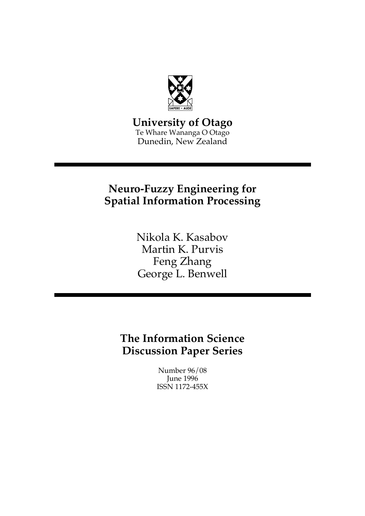

**University of Otago** Te Whare Wananga O Otago Dunedin, New Zealand

# **Neuro-Fuzzy Engineering for Spatial Information Processing**

Nikola K. Kasabov Martin K. Purvis Feng Zhang George L. Benwell

**The Information Science Discussion Paper Series**

> Number 96/08 June 1996 ISSN 1172-455X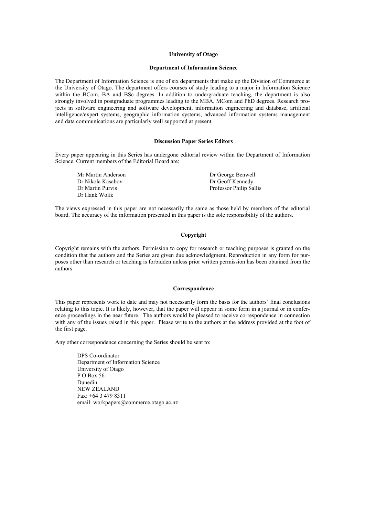#### **University of Otago**

#### **Department of Information Science**

The Department of Information Science is one of six departments that make up the Division of Commerce at the University of Otago. The department offers courses of study leading to a major in Information Science within the BCom, BA and BSc degrees. In addition to undergraduate teaching, the department is also strongly involved in postgraduate programmes leading to the MBA, MCom and PhD degrees. Research projects in software engineering and software development, information engineering and database, artificial intelligence/expert systems, geographic information systems, advanced information systems management and data communications are particularly well supported at present.

#### **Discussion Paper Series Editors**

Every paper appearing in this Series has undergone editorial review within the Department of Information Science. Current members of the Editorial Board are:

| Mr Martin Anderson | Dr George Benwell       |
|--------------------|-------------------------|
| Dr Nikola Kasabov  | Dr Geoff Kennedy        |
| Dr Martin Purvis   | Professor Philip Sallis |
| Dr Hank Wolfe      |                         |

The views expressed in this paper are not necessarily the same as those held by members of the editorial board. The accuracy of the information presented in this paper is the sole responsibility of the authors.

#### **Copyright**

Copyright remains with the authors. Permission to copy for research or teaching purposes is granted on the condition that the authors and the Series are given due acknowledgment. Reproduction in any form for purposes other than research or teaching is forbidden unless prior written permission has been obtained from the authors.

#### **Correspondence**

This paper represents work to date and may not necessarily form the basis for the authors' final conclusions relating to this topic. It is likely, however, that the paper will appear in some form in a journal or in conference proceedings in the near future. The authors would be pleased to receive correspondence in connection with any of the issues raised in this paper. Please write to the authors at the address provided at the foot of the first page.

Any other correspondence concerning the Series should be sent to:

DPS Co-ordinator Department of Information Science University of Otago P O Box 56 Dunedin NEW ZEALAND Fax: +64 3 479 8311 email: workpapers@commerce.otago.ac.nz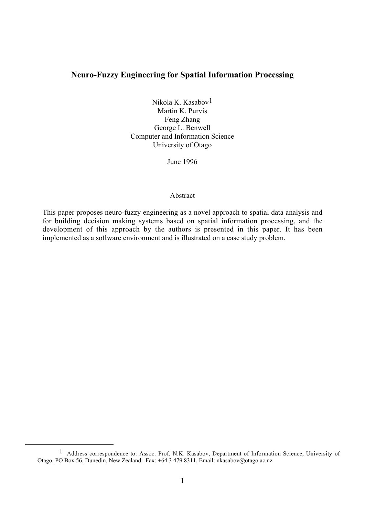# **Neuro-Fuzzy Engineering for Spatial Information Processing**

Nikola K. Kasabov1 Martin K. Purvis Feng Zhang George L. Benwell Computer and Information Science University of Otago

June 1996

#### Abstract

This paper proposes neuro-fuzzy engineering as a novel approach to spatial data analysis and for building decision making systems based on spatial information processing, and the development of this approach by the authors is presented in this paper. It has been implemented as a software environment and is illustrated on a case study problem.

 <sup>1</sup> Address correspondence to: Assoc. Prof. N.K. Kasabov, Department of Information Science, University of Otago, PO Box 56, Dunedin, New Zealand. Fax: +64 3 479 8311, Email: nkasabov@otago.ac.nz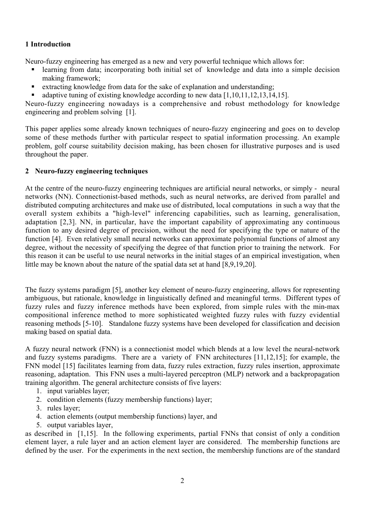# **1 Introduction**

Neuro-fuzzy engineering has emerged as a new and very powerful technique which allows for:

- ß learning from data; incorporating both initial set of knowledge and data into a simple decision making framework;
- $\blacksquare$  extracting knowledge from data for the sake of explanation and understanding;
- adaptive tuning of existing knowledge according to new data [1,10,11,12,13,14,15].

Neuro-fuzzy engineering nowadays is a comprehensive and robust methodology for knowledge engineering and problem solving [1].

This paper applies some already known techniques of neuro-fuzzy engineering and goes on to develop some of these methods further with particular respect to spatial information processing. An example problem, golf course suitability decision making, has been chosen for illustrative purposes and is used throughout the paper.

# **2 Neuro-fuzzy engineering techniques**

At the centre of the neuro-fuzzy engineering techniques are artificial neural networks, or simply - neural networks (NN). Connectionist-based methods, such as neural networks, are derived from parallel and distributed computing architectures and make use of distributed, local computations in such a way that the overall system exhibits a "high-level" inferencing capabilities, such as learning, generalisation, adaptation [2,3]. NN, in particular, have the important capability of approximating any continuous function to any desired degree of precision, without the need for specifying the type or nature of the function [4]. Even relatively small neural networks can approximate polynomial functions of almost any degree, without the necessity of specifying the degree of that function prior to training the network. For this reason it can be useful to use neural networks in the initial stages of an empirical investigation, when little may be known about the nature of the spatial data set at hand [8,9,19,20].

The fuzzy systems paradigm [5], another key element of neuro-fuzzy engineering, allows for representing ambiguous, but rationale, knowledge in linguistically defined and meaningful terms. Different types of fuzzy rules and fuzzy inference methods have been explored, from simple rules with the min-max compositional inference method to more sophisticated weighted fuzzy rules with fuzzy evidential reasoning methods [5-10]. Standalone fuzzy systems have been developed for classification and decision making based on spatial data.

A fuzzy neural network (FNN) is a connectionist model which blends at a low level the neural-network and fuzzy systems paradigms. There are a variety of FNN architectures [11,12,15]; for example, the FNN model [15] facilitates learning from data, fuzzy rules extraction, fuzzy rules insertion, approximate reasoning, adaptation. This FNN uses a multi-layered perceptron (MLP) network and a backpropagation training algorithm. The general architecture consists of five layers:

- 1. input variables layer;
- 2. condition elements (fuzzy membership functions) layer;
- 3. rules layer;
- 4. action elements (output membership functions) layer, and
- 5. output variables layer,

as described in [1,15]. In the following experiments, partial FNNs that consist of only a condition element layer, a rule layer and an action element layer are considered. The membership functions are defined by the user. For the experiments in the next section, the membership functions are of the standard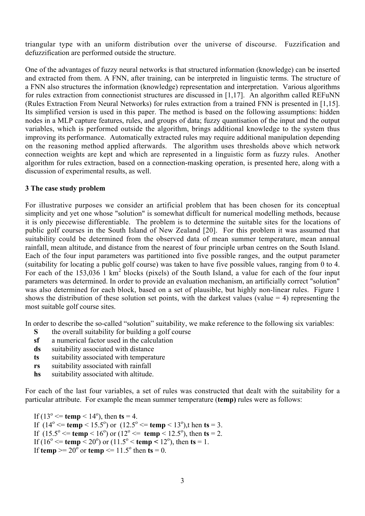triangular type with an uniform distribution over the universe of discourse. Fuzzification and defuzzification are performed outside the structure.

One of the advantages of fuzzy neural networks is that structured information (knowledge) can be inserted and extracted from them. A FNN, after training, can be interpreted in linguistic terms. The structure of a FNN also structures the information (knowledge) representation and interpretation. Various algorithms for rules extraction from connectionist structures are discussed in [1,17]. An algorithm called REFuNN (Rules Extraction From Neural Networks) for rules extraction from a trained FNN is presented in [1,15]. Its simplified version is used in this paper. The method is based on the following assumptions: hidden nodes in a MLP capture features, rules, and groups of data; fuzzy quantisation of the input and the output variables, which is performed outside the algorithm, brings additional knowledge to the system thus improving its performance. Automatically extracted rules may require additional manipulation depending on the reasoning method applied afterwards. The algorithm uses thresholds above which network connection weights are kept and which are represented in a linguistic form as fuzzy rules. Another algorithm for rules extraction, based on a connection-masking operation, is presented here, along with a discussion of experimental results, as well.

### **3 The case study problem**

For illustrative purposes we consider an artificial problem that has been chosen for its conceptual simplicity and yet one whose "solution" is somewhat difficult for numerical modelling methods, because it is only piecewise differentiable. The problem is to determine the suitable sites for the locations of public golf courses in the South Island of New Zealand [20]. For this problem it was assumed that suitability could be determined from the observed data of mean summer temperature, mean annual rainfall, mean altitude, and distance from the nearest of four principle urban centres on the South Island. Each of the four input parameters was partitioned into five possible ranges, and the output parameter (suitability for locating a public golf course) was taken to have five possible values, ranging from 0 to 4. For each of the 153,036 1 km<sup>2</sup> blocks (pixels) of the South Island, a value for each of the four input parameters was determined. In order to provide an evaluation mechanism, an artificially correct "solution" was also determined for each block, based on a set of plausible, but highly non-linear rules. Figure 1 shows the distribution of these solution set points, with the darkest values (value  $= 4$ ) representing the most suitable golf course sites.

In order to describe the so-called "solution" suitability, we make reference to the following six variables:

- **S** the overall suitability for building a golf course
- **sf** a numerical factor used in the calculation
- **ds** suitability associated with distance
- **ts** suitability associated with temperature
- **rs** suitability associated with rainfall
- **hs** suitability associated with altitude.

For each of the last four variables, a set of rules was constructed that dealt with the suitability for a particular attribute. For example the mean summer temperature (**temp)** rules were as follows:

If  $(13^{\circ} \leq \text{temp} \leq 14^{\circ})$ , then **ts** = 4. If  $(14^{\circ} \leq \text{temp} \leq 15.5^{\circ})$  or  $(12.5^{\circ} \leq \text{temp} \leq 13^{\circ})$ , t hen **ts** = 3. If  $(15.5^{\circ} \leq \text{temp} \leq 16^{\circ})$  or  $(12^{\circ} \leq \text{temp} \leq 12.5^{\circ})$ , then **ts** = 2. If  $(16^{\circ} \leq \text{temp} \leq 20^{\circ})$  or  $(11.5^{\circ} \leq \text{temp} \leq 12^{\circ})$ , then **ts** = 1. If **temp**  $>= 20^{\circ}$  or **temp**  $\le 11.5^{\circ}$  then **ts**  $= 0.$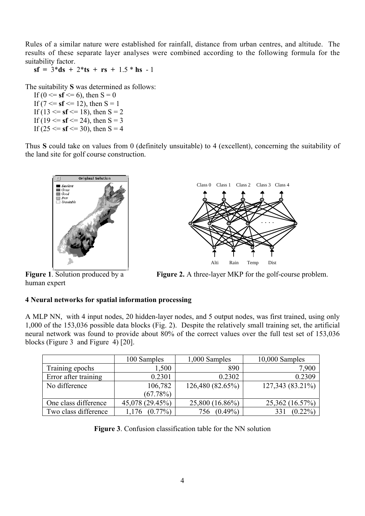Rules of a similar nature were established for rainfall, distance from urban centres, and altitude. The results of these separate layer analyses were combined according to the following formula for the suitability factor.

 $sf = 3 * ds + 2 * ts + rs + 1.5 * hs - 1$ 

The suitability **S** was determined as follows:

If ( $0 \le s$ **f**  $\le 6$ ), then S = 0 If (7  $\le$  **sf**  $\le$  12), then S = 1 If (13  $\le$  **sf**  $\le$  18), then S = 2 If (19  $\le$  **sf**  $\le$  24), then S = 3 If (25  $\le$  **sf**  $\le$  30), then S = 4

Thus **S** could take on values from 0 (definitely unsuitable) to 4 (excellent), concerning the suitability of the land site for golf course construction.



human expert



**Figure 1**. Solution produced by a **Figure 2.** A three-layer MKP for the golf-course problem.

# **4 Neural networks for spatial information processing**

A MLP NN, with 4 input nodes, 20 hidden-layer nodes, and 5 output nodes, was first trained, using only 1,000 of the 153,036 possible data blocks (Fig. 2). Despite the relatively small training set, the artificial neural network was found to provide about 80% of the correct values over the full test set of 153,036 blocks (Figure 3 and Figure 4) [20].

|                      | 100 Samples     | 1,000 Samples     | 10,000 Samples   |
|----------------------|-----------------|-------------------|------------------|
| Training epochs      | 1,500           | 890               | 7,900            |
| Error after training | 0.2301          | 0.2302            | 0.2309           |
| No difference        | 106,782         | 126,480 (82.65%)  | 127,343 (83.21%) |
|                      | (67.78%)        |                   |                  |
| One class difference | 45,078 (29.45%) | 25,800 (16.86%)   | 25,362 (16.57%)  |
| Two class difference | $(0.77\%)$      | $(0.49\%)$<br>756 | $(0.22\%)$       |

**Figure 3**. Confusion classification table for the NN solution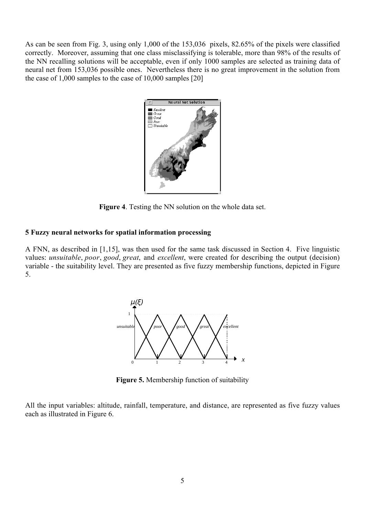As can be seen from Fig. 3, using only 1,000 of the 153,036 pixels, 82.65% of the pixels were classified correctly. Moreover, assuming that one class misclassifying is tolerable, more than 98% of the results of the NN recalling solutions will be acceptable, even if only 1000 samples are selected as training data of neural net from 153,036 possible ones. Nevertheless there is no great improvement in the solution from the case of 1,000 samples to the case of 10,000 samples [20]



**Figure 4**. Testing the NN solution on the whole data set.

### **5 Fuzzy neural networks for spatial information processing**

A FNN, as described in [1,15], was then used for the same task discussed in Section 4. Five linguistic values: *unsuitable*, *poor*, *good*, *great*, and *excellent*, were created for describing the output (decision) variable - the suitability level. They are presented as five fuzzy membership functions, depicted in Figure 5.



**Figure 5.** Membership function of suitability

All the input variables: altitude, rainfall, temperature, and distance, are represented as five fuzzy values each as illustrated in Figure 6.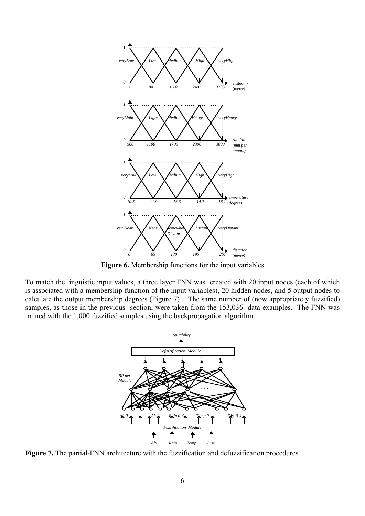

**Figure 6.** Membership functions for the input variables

To match the linguistic input values, a three layer FNN was created with 20 input nodes (each of which is associated with a membership function of the input variables), 20 hidden nodes, and 5 output nodes to calculate the output membership degrees (Figure 7) . The same number of (now appropriately fuzzified) samples, as those in the previous section, were taken from the 153,036 data examples. The FNN was trained with the 1,000 fuzzified samples using the backpropagation algorithm.



**Figure 7.** The partial-FNN architecture with the fuzzification and defuzzification procedures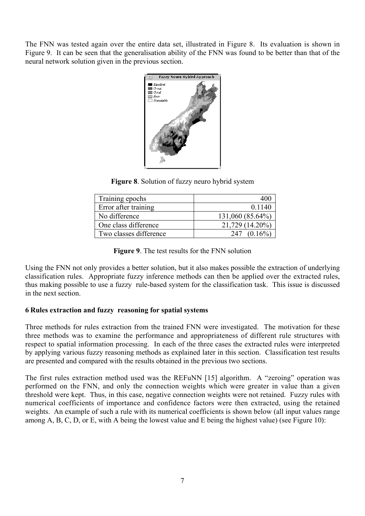The FNN was tested again over the entire data set, illustrated in Figure 8. Its evaluation is shown in Figure 9. It can be seen that the generalisation ability of the FNN was found to be better than that of the neural network solution given in the previous section.



**Figure 8**. Solution of fuzzy neuro hybrid system

| Training epochs        | 400              |
|------------------------|------------------|
| Error after training   | 0.1140           |
| No difference          | 131,060 (85.64%) |
| One class difference   | 21,729 (14.20%)  |
| Two classes difference | 247              |

**Figure 9**. The test results for the FNN solution

Using the FNN not only provides a better solution, but it also makes possible the extraction of underlying classification rules. Appropriate fuzzy inference methods can then be applied over the extracted rules, thus making possible to use a fuzzy rule-based system for the classification task. This issue is discussed in the next section.

# **6 Rules extraction and fuzzy reasoning for spatial systems**

Three methods for rules extraction from the trained FNN were investigated. The motivation for these three methods was to examine the performance and appropriateness of different rule structures with respect to spatial information processing. In each of the three cases the extracted rules were interpreted by applying various fuzzy reasoning methods as explained later in this section. Classification test results are presented and compared with the results obtained in the previous two sections.

The first rules extraction method used was the REFuNN [15] algorithm. A "zeroing" operation was performed on the FNN, and only the connection weights which were greater in value than a given threshold were kept. Thus, in this case, negative connection weights were not retained. Fuzzy rules with numerical coefficients of importance and confidence factors were then extracted, using the retained weights. An example of such a rule with its numerical coefficients is shown below (all input values range among A, B, C, D, or E, with A being the lowest value and E being the highest value) (see Figure 10):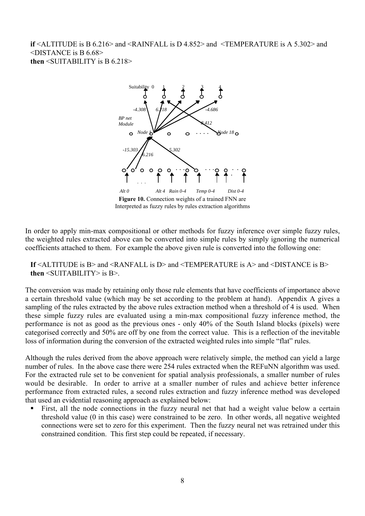**if** <ALTITUDE is B 6.216> and <RAINFALL is D 4.852> and <TEMPERATURE is A 5.302> and <DISTANCE is B 6.68> **then** <SUITABILITY is B 6.218>



**Figure 10.** Connection weights of a trained FNN are Interpreted as fuzzy rules by rules extraction algorithms

In order to apply min-max compositional or other methods for fuzzy inference over simple fuzzy rules, the weighted rules extracted above can be converted into simple rules by simply ignoring the numerical coefficients attached to them. For example the above given rule is converted into the following one:

**If**  $\leq$ ALTITUDE is B> and  $\leq$ RANFALL is D> and  $\leq$ TEMPERATURE is A> and  $\leq$ DISTANCE is B> **then** <SUITABILITY> is B>.

The conversion was made by retaining only those rule elements that have coefficients of importance above a certain threshold value (which may be set according to the problem at hand). Appendix A gives a sampling of the rules extracted by the above rules extraction method when a threshold of 4 is used. When these simple fuzzy rules are evaluated using a min-max compositional fuzzy inference method, the performance is not as good as the previous ones - only 40% of the South Island blocks (pixels) were categorised correctly and 50% are off by one from the correct value. This is a reflection of the inevitable loss of information during the conversion of the extracted weighted rules into simple "flat" rules.

Although the rules derived from the above approach were relatively simple, the method can yield a large number of rules. In the above case there were 254 rules extracted when the REFuNN algorithm was used. For the extracted rule set to be convenient for spatial analysis professionals, a smaller number of rules would be desirable. In order to arrive at a smaller number of rules and achieve better inference performance from extracted rules, a second rules extraction and fuzzy inference method was developed that used an evidential reasoning approach as explained below:

ß First, all the node connections in the fuzzy neural net that had a weight value below a certain threshold value (0 in this case) were constrained to be zero. In other words, all negative weighted connections were set to zero for this experiment. Then the fuzzy neural net was retrained under this constrained condition. This first step could be repeated, if necessary.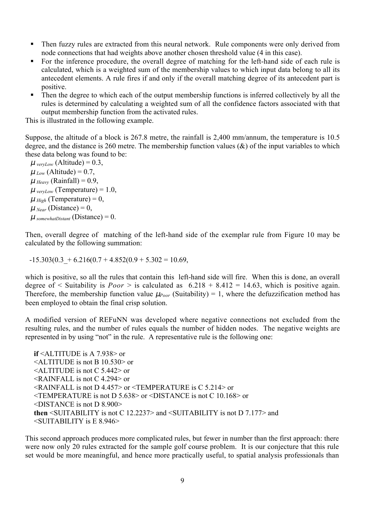- Then fuzzy rules are extracted from this neural network. Rule components were only derived from node connections that had weights above another chosen threshold value (4 in this case).
- For the inference procedure, the overall degree of matching for the left-hand side of each rule is calculated, which is a weighted sum of the membership values to which input data belong to all its antecedent elements. A rule fires if and only if the overall matching degree of its antecedent part is positive.
- Then the degree to which each of the output membership functions is inferred collectively by all the rules is determined by calculating a weighted sum of all the confidence factors associated with that output membership function from the activated rules.

This is illustrated in the following example.

Suppose, the altitude of a block is 267.8 metre, the rainfall is 2,400 mm/annum, the temperature is 10.5 degree, and the distance is 260 metre. The membership function values  $(\&)$  of the input variables to which these data belong was found to be:

 $\mu$ <sub>veryLow</sub> (Altitude) = 0.3,  $\mu_{Low}$  (Altitude) = 0.7,  $\mu$ <sub>*Heavy*</sub> (Rainfall) = 0.9,  $\mu_{\text{veryLow}}$  (Temperature) = 1.0,  $\mu$ <sub>*High*</sub> (Temperature) = 0,  $\mu$ <sub>Near</sub> (Distance) = 0,  $\mu$  somewhatDistant (Distance) = 0.

Then, overall degree of matching of the left-hand side of the exemplar rule from Figure 10 may be calculated by the following summation:

 $-15.303(0.3 + 6.216(0.7 + 4.852(0.9 + 5.302 = 10.69))$ 

which is positive, so all the rules that contain this left-hand side will fire. When this is done, an overall degree of  $\le$  Suitability is *Poor*  $>$  is calculated as  $6.218 + 8.412 = 14.63$ , which is positive again. Therefore, the membership function value  $\mu_{\text{Poor}}$  (Suitability) = 1, where the defuzzification method has been employed to obtain the final crisp solution.

A modified version of REFuNN was developed where negative connections not excluded from the resulting rules, and the number of rules equals the number of hidden nodes. The negative weights are represented in by using "not" in the rule. A representative rule is the following one:

**if** <ALTITUDE is A 7.938> or  $\leq$ ALTITUDE is not B 10.530 $>$  or <ALTITUDE is not C 5.442> or <RAINFALL is not C 4.294> or <RAINFALL is not D 4.457> or <TEMPERATURE is C 5.214> or <TEMPERATURE is not D 5.638> or <DISTANCE is not C 10.168> or <DISTANCE is not D 8.900> **then** <SUITABILITY is not C 12.2237> and <SUITABILITY is not D 7.177> and  $\leq$ SUITABILITY is E 8.946>

This second approach produces more complicated rules, but fewer in number than the first approach: there were now only 20 rules extracted for the sample golf course problem. It is our conjecture that this rule set would be more meaningful, and hence more practically useful, to spatial analysis professionals than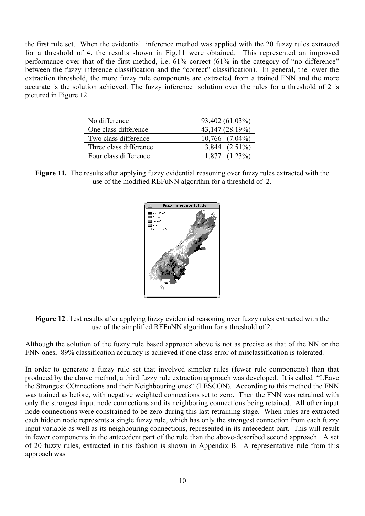the first rule set. When the evidential inference method was applied with the 20 fuzzy rules extracted for a threshold of 4, the results shown in Fig.11 were obtained. This represented an improved performance over that of the first method, i.e. 61% correct (61% in the category of "no difference" between the fuzzy inference classification and the "correct" classification). In general, the lower the extraction threshold, the more fuzzy rule components are extracted from a trained FNN and the more accurate is the solution achieved. The fuzzy inference solution over the rules for a threshold of 2 is pictured in Figure 12.

| No difference          | 93,402 (61.03%)     |
|------------------------|---------------------|
| One class difference   | 43,147 (28.19%)     |
| Two class difference   | $10,766$ $(7.04\%)$ |
| Three class difference | $(2.51\%)$<br>3.844 |
| Four class difference  | 1877                |

**Figure 11.** The results after applying fuzzy evidential reasoning over fuzzy rules extracted with the use of the modified REFuNN algorithm for a threshold of 2.



**Figure 12** .Test results after applying fuzzy evidential reasoning over fuzzy rules extracted with the use of the simplified REFuNN algorithm for a threshold of 2.

Although the solution of the fuzzy rule based approach above is not as precise as that of the NN or the FNN ones, 89% classification accuracy is achieved if one class error of misclassification is tolerated.

In order to generate a fuzzy rule set that involved simpler rules (fewer rule components) than that produced by the above method, a third fuzzy rule extraction approach was developed. It is called "LEave the Strongest COnnections and their Neighbouring ones" (LESCON). According to this method the FNN was trained as before, with negative weighted connections set to zero. Then the FNN was retrained with only the strongest input node connections and its neighboring connections being retained. All other input node connections were constrained to be zero during this last retraining stage. When rules are extracted each hidden node represents a single fuzzy rule, which has only the strongest connection from each fuzzy input variable as well as its neighbouring connections, represented in its antecedent part. This will result in fewer components in the antecedent part of the rule than the above-described second approach. A set of 20 fuzzy rules, extracted in this fashion is shown in Appendix B. A representative rule from this approach was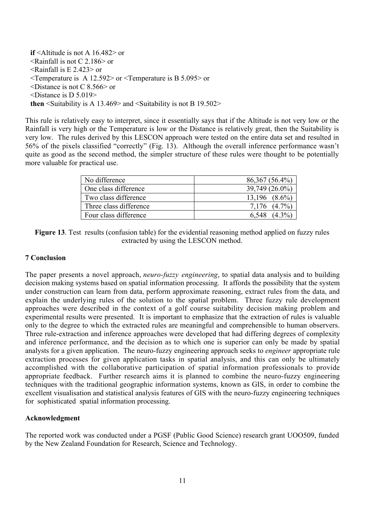**if** <Altitude is not A 16.482> or  $\leq$ Rainfall is not C 2.186 $>$  or  $\leq$ Rainfall is E 2.423 $>$  or <Temperature is A 12.592> or <Temperature is B 5.095> or <Distance is not C 8.566> or <Distance is D 5.019> **then** <Suitability is A 13.469> and <Suitability is not B 19.502>

This rule is relatively easy to interpret, since it essentially says that if the Altitude is not very low or the Rainfall is very high or the Temperature is low or the Distance is relatively great, then the Suitability is very low. The rules derived by this LESCON approach were tested on the entire data set and resulted in 56% of the pixels classified "correctly" (Fig. 13). Although the overall inference performance wasn't quite as good as the second method, the simpler structure of these rules were thought to be potentially more valuable for practical use.

| No difference          | $86,367(56.4\%)$   |
|------------------------|--------------------|
| One class difference   | 39,749 (26.0%)     |
| Two class difference   | $13.196$ $(8.6\%)$ |
| Three class difference | $(4.7\%$           |
| Four class difference  | 6.548              |

**Figure 13**. Test results (confusion table) for the evidential reasoning method applied on fuzzy rules extracted by using the LESCON method.

### **7 Conclusion**

The paper presents a novel approach, *neuro-fuzzy engineering*, to spatial data analysis and to building decision making systems based on spatial information processing. It affords the possibility that the system under construction can learn from data, perform approximate reasoning, extract rules from the data, and explain the underlying rules of the solution to the spatial problem. Three fuzzy rule development approaches were described in the context of a golf course suitability decision making problem and experimental results were presented. It is important to emphasize that the extraction of rules is valuable only to the degree to which the extracted rules are meaningful and comprehensible to human observers. Three rule-extraction and inference approaches were developed that had differing degrees of complexity and inference performance, and the decision as to which one is superior can only be made by spatial analysts for a given application. The neuro-fuzzy engineering approach seeks to *engineer* appropriate rule extraction processes for given application tasks in spatial analysis, and this can only be ultimately accomplished with the collaborative participation of spatial information professionals to provide appropriate feedback. Further research aims it is planned to combine the neuro-fuzzy engineering techniques with the traditional geographic information systems, known as GIS, in order to combine the excellent visualisation and statistical analysis features of GIS with the neuro-fuzzy engineering techniques for sophisticated spatial information processing.

#### **Acknowledgment**

The reported work was conducted under a PGSF (Public Good Science) research grant UOO509, funded by the New Zealand Foundation for Research, Science and Technology.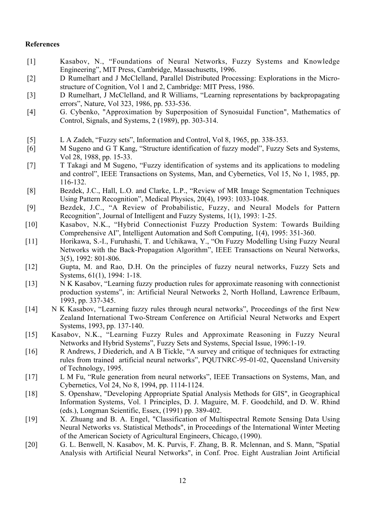# **References**

- [1] Kasabov, N., "Foundations of Neural Networks, Fuzzy Systems and Knowledge Engineering", MIT Press, Cambridge, Massachusetts, 1996.
- [2] D Rumelhart and J McClelland, Parallel Distributed Processing: Explorations in the Microstructure of Cognition, Vol 1 and 2, Cambridge: MIT Press, 1986.
- [3] D Rumelhart, J McClelland, and R Williams, "Learning representations by backpropagating errors", Nature, Vol 323, 1986, pp. 533-536.
- [4] G. Cybenko, "Approximation by Superposition of Synosuidal Function", Mathematics of Control, Signals, and Systems, 2 (1989), pp. 303-314.
- [5] L A Zadeh, "Fuzzy sets", Information and Control, Vol 8, 1965, pp. 338-353.
- [6] M Sugeno and G T Kang, "Structure identification of fuzzy model", Fuzzy Sets and Systems, Vol 28, 1988, pp. 15-33.
- [7] T Takagi and M Sugeno, "Fuzzy identification of systems and its applications to modeling and control", IEEE Transactions on Systems, Man, and Cybernetics, Vol 15, No 1, 1985, pp. 116-132.
- [8] Bezdek, J.C., Hall, L.O. and Clarke, L.P., "Review of MR Image Segmentation Techniques Using Pattern Recognition", Medical Physics, 20(4), 1993: 1033-1048.
- [9] Bezdek, J.C., "A Review of Probabilistic, Fuzzy, and Neural Models for Pattern Recognition", Journal of Intelligent and Fuzzy Systems, 1(1), 1993: 1-25.
- [10] Kasabov, N.K., "Hybrid Connectionist Fuzzy Production System: Towards Building Comprehensive AI", Intelligent Automation and Soft Computing, 1(4), 1995: 351-360.
- [11] Horikawa, S.-I., Furuhashi, T. and Uchikawa, Y., "On Fuzzy Modelling Using Fuzzy Neural Networks with the Back-Propagation Algorithm", IEEE Transactions on Neural Networks, 3(5), 1992: 801-806.
- [12] Gupta, M. and Rao, D.H. On the principles of fuzzy neural networks, Fuzzy Sets and Systems, 61(1), 1994: 1-18.
- [13] N K Kasabov, "Learning fuzzy production rules for approximate reasoning with connectionist production systems", in: Artificial Neural Networks 2, North Holland, Lawrence Erlbaum, 1993, pp. 337-345.
- [14] N K Kasabov, "Learning fuzzy rules through neural networks", Proceedings of the first New Zealand International Two-Stream Conference on Artificial Neural Networks and Expert Systems, 1993, pp. 137-140.
- [15] Kasabov, N.K., "Learning Fuzzy Rules and Approximate Reasoning in Fuzzy Neural Networks and Hybrid Systems", Fuzzy Sets and Systems, Special Issue, 1996:1-19.
- [16] R Andrews, J Diederich, and A B Tickle, "A survey and critique of techniques for extracting rules from trained artificial neural networks", PQUTNRC-95-01-02, Queensland University of Technology, 1995.
- [17] L M Fu, "Rule generation from neural networks", IEEE Transactions on Systems, Man, and Cybernetics, Vol 24, No 8, 1994, pp. 1114-1124.
- [18] S. Openshaw, "Developing Appropriate Spatial Analysis Methods for GIS", in Geographical Information Systems, Vol. 1 Principles, D. J. Maguire, M. F. Goodchild, and D. W. Rhind (eds.), Longman Scientific, Essex, (1991) pp. 389-402.
- [19] X. Zhuang and B. A. Engel, "Classification of Multispectral Remote Sensing Data Using Neural Networks vs. Statistical Methods", in Proceedings of the International Winter Meeting of the American Society of Agricultural Engineers, Chicago, (1990).
- [20] G. L. Benwell, N. Kasabov, M. K. Purvis, F. Zhang, B. R. Mclennan, and S. Mann, "Spatial Analysis with Artificial Neural Networks", in Conf. Proc. Eight Australian Joint Artificial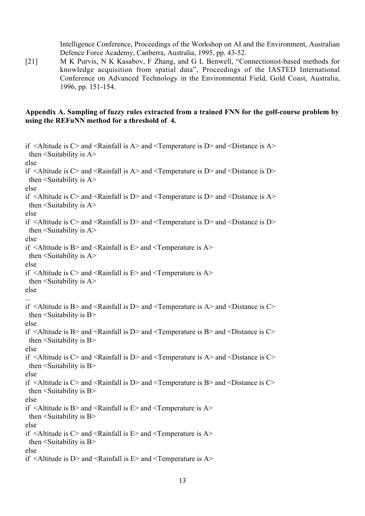Intelligence Conference, Proceedings of the Workshop on AI and the Environment, Australian Defence Force Academy, Canberra, Australia, 1995, pp. 43-52.

[21] M K Purvis, N K Kasabov, F Zhang, and G L Benwell, "Connectionist-based methods for knowledge acquisition from spatial data", Proceedings of the IASTED International Conference on Advanced Technology in the Environmental Field, Gold Coast, Australia, 1996, pp. 151-154.

### **Appendix A. Sampling of fuzzy rules extracted from a trained FNN for the golf-course problem by using the REFuNN method for a threshold of 4.**

```
if \leqAltitude is C> and \leqRainfall is A> and \leqTemperature is D> and \leqDistance is A>then \leqSuitability is A>else
if \leqAltitude is C> and \leqRainfall is A> and \leqTemperature is D> and \leqDistance is D>then \leqSuitability is A>else
if \leqAltitude is C> and \leqRainfall is D> and \leqTemperature is D> and \leqDistance is A>then \leSuitability is A>else
if \leqAltitude is C> and \leqRainfall is D> and \leqTemperature is D> and \leqDistance is D>then \leSuitability is A>else
if \leqAltitude is B> and \leqRainfall is E> and \leqTemperature is A>then \leSuitability is A>else
if \leqAltitude is C> and \leqRainfall is E> and \leqTemperature is A>then \leSuitability is A>else
...
if \leqAltitude is B> and \leqRainfall is D> and \leqTemperature is A> and \leqDistance is C>then \leSuitability is B>else
if \leqAltitude is B> and \leqRainfall is D> and \leqTemperature is B> and \leqDistance is C>then \leSuitability is B>else
if \leqAltitude is C> and \leqRainfall is D> and \leqTemperature is A> and \leqDistance is C>then \leSuitability is B>else
if \leqAltitude is C> and \leqRainfall is D> and \leqTemperature is B> and \leqDistance is C>then \leqSuitability is B>else
if \leqAltitude is B> and \leqRainfall is E> and \leqTemperature is A>then \leqSuitability is B>else
if \leqAltitude is C> and \leqRainfall is E> and \leqTemperature is A>then \leqSuitability is B>else
if \leqAltitude is D> and \leqRainfall is E> and \leqTemperature is A>
```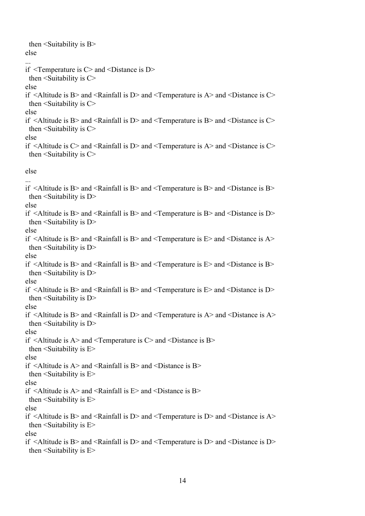| then $\le$ Suitability is B $>$<br>else                                                                                                                          |  |
|------------------------------------------------------------------------------------------------------------------------------------------------------------------|--|
| if $\leq$ Temperature is C $>$ and $\leq$ Distance is D $>$<br>then $\le$ Suitability is C $>$                                                                   |  |
| else<br>if $\leq$ Altitude is B> and $\leq$ Rainfall is D> and $\leq$ Temperature is A> and $\leq$ Distance is C><br>then $\le$ Suitability is C $>$             |  |
| else<br>if $\leq$ Altitude is B> and $\leq$ Rainfall is D> and $\leq$ Temperature is B> and $\leq$ Distance is C><br>then $\le$ Suitability is C $>$             |  |
| else<br>if $\leq$ Altitude is C $>$ and $\leq$ Rainfall is D $>$ and $\leq$ Temperature is A $>$ and $\leq$ Distance is C $>$<br>then $\le$ Suitability is C $>$ |  |
| else                                                                                                                                                             |  |
| if $\leq$ Altitude is B> and $\leq$ Rainfall is B> and $\leq$ Temperature is B> and $\leq$ Distance is B><br>then $\le$ Suitability is D $>$<br>else             |  |
| if $\leq$ Altitude is B> and $\leq$ Rainfall is B> and $\leq$ Temperature is B> and $\leq$ Distance is D><br>then $\le$ Suitability is D $>$<br>else             |  |
| if $\leq$ Altitude is B> and $\leq$ Rainfall is B> and $\leq$ Temperature is E> and $\leq$ Distance is A><br>then $\le$ Suitability is D $>$<br>else             |  |
| if $\leq$ Altitude is B> and $\leq$ Rainfall is B> and $\leq$ Temperature is E> and $\leq$ Distance is B><br>then $\le$ Suitability is D $\ge$<br>else           |  |
| if $\leq$ Altitude is B> and $\leq$ Rainfall is B> and $\leq$ Temperature is E> and $\leq$ Distance is D><br>then $\le$ Suitability is D $>$                     |  |
| else<br>if $\leq$ Altitude is B> and $\leq$ Rainfall is D> and $\leq$ Temperature is A> and $\leq$ Distance is A><br>then $\le$ Suitability is D $>$             |  |
| else<br>if $\leq$ Altitude is A $>$ and $\leq$ Temperature is C $>$ and $\leq$ Distance is B $>$<br>then $\le$ Suitability is E $>$<br>else                      |  |
| if $\leq$ Altitude is A> and $\leq$ Rainfall is B> and $\leq$ Distance is B><br>then $\le$ Suitability is E $>$<br>else                                          |  |
| if $\leq$ Altitude is A> and $\leq$ Rainfall is E> and $\leq$ Distance is B><br>then $\le$ Suitability is E $>$                                                  |  |
| else<br>if $\leq$ Altitude is B> and $\leq$ Rainfall is D> and $\leq$ Temperature is D> and $\leq$ Distance is A><br>then $\le$ Suitability is E $>$             |  |
| else<br>if $\leq$ Altitude is B> and $\leq$ Rainfall is D> and $\leq$ Temperature is D> and $\leq$ Distance is D><br>then $\le$ Suitability is E $>$             |  |
|                                                                                                                                                                  |  |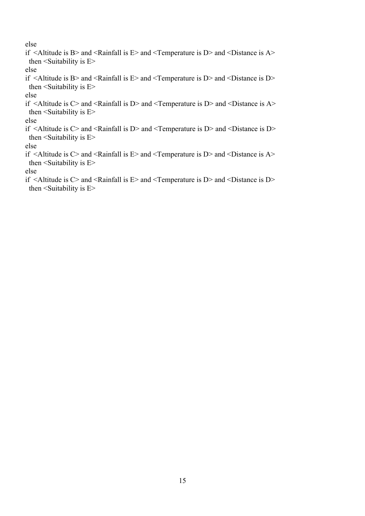else

if  $\leq$ Altitude is B $>$  and  $\leq$ Rainfall is E $>$  and  $\leq$ Temperature is D $>$  and  $\leq$ Distance is A $>$ then  $\le$ Suitability is E $>$ else if  $\leq$ Altitude is B $>$  and  $\leq$ Rainfall is E $>$  and  $\leq$ Temperature is D $>$  and  $\leq$ Distance is D $>$ then  $\le$ Suitability is E $>$ else if  $\leq$ Altitude is C $>$  and  $\leq$ Rainfall is D $>$  and  $\leq$ Temperature is D $>$  and  $\leq$ Distance is A $>$ then  $\le$ Suitability is E $>$ else if <Altitude is C> and <Rainfall is D> and <Temperature is D> and <Distance is D> then  $\leq$ Suitability is E $>$ else if <Altitude is C> and <Rainfall is E> and <Temperature is D> and <Distance is A> then  $\le$ Suitability is E $>$ else if  $\leq$ Altitude is C $>$  and  $\leq$ Rainfall is E $>$  and  $\leq$ Temperature is D $>$  and  $\leq$ Distance is D $>$ then  $\le$ Suitability is E $>$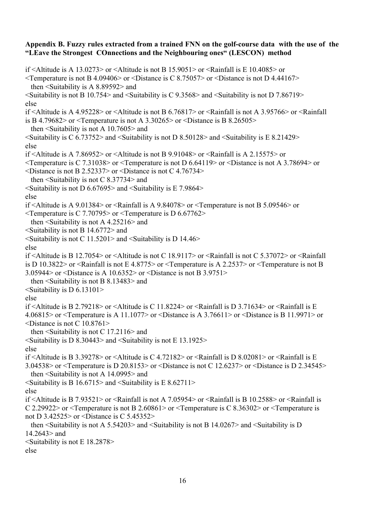### **Appendix B. Fuzzy rules extracted from a trained FNN on the golf-course data with the use of the "LEave the Strongest COnnections and the Neighbouring ones" (LESCON) method**

if <Altitude is A 13.0273> or <Altitude is not B 15.9051> or <Rainfall is E 10.4085> or  $\leq$ Temperature is not B 4.09406> or  $\leq$ Distance is C 8.75057> or  $\leq$ Distance is not D 4.44167> then <Suitability is A 8.89592> and  $\le$ Suitability is not B 10.754 $>$  and  $\le$ Suitability is C 9.3568 $>$  and  $\le$ Suitability is not D 7.86719 $>$ else if <Altitude is A 4.95228> or <Altitude is not B 6.76817> or <Rainfall is not A 3.95766> or <Rainfall is B 4.79682> or <Temperature is not A 3.30265> or <Distance is B 8.26505> then <Suitability is not A 10.7605> and  $\le$ Suitability is C 6.73752> and  $\le$ Suitability is not D 8.50128> and  $\le$ Suitability is E 8.21429> else if <Altitude is A 7.86952> or <Altitude is not B 9.91048> or <Rainfall is A 2.15575> or <Temperature is C 7.31038> or <Temperature is not D 6.64119> or <Distance is not A 3.78694> or  $\leq$ Distance is not B 2.52337> or  $\leq$ Distance is not C 4.76734> then  $\le$ Suitability is not C 8.37734 $>$  and  $\le$ Suitability is not D 6.67695 $>$  and  $\le$ Suitability is E 7.9864 $>$ else if <Altitude is A 9.01384> or <Rainfall is A 9.84078> or <Temperature is not B 5.09546> or <Temperature is C 7.70795> or <Temperature is D 6.67762> then <Suitability is not A 4.25216> and <Suitability is not B 14.6772> and  $\le$ Suitability is not C 11.5201> and  $\le$ Suitability is D 14.46> else if <Altitude is B 12.7054> or <Altitude is not C 18.9117> or <Rainfall is not C 5.37072> or <Rainfall is D 10.3822> or <Rainfall is not E 4.8775> or <Temperature is A 2.2537> or <Temperature is not B 3.05944> or <Distance is A 10.6352> or <Distance is not B 3.9751> then <Suitability is not B 8.13483> and  $\le$ Suitability is D 6.13101> else if <Altitude is B 2.79218> or <Altitude is C 11.8224> or <Rainfall is D 3.71634> or <Rainfall is E 4.06815> or <Temperature is A 11.1077> or <Distance is A 3.76611> or <Distance is B 11.9971> or <Distance is not C 10.8761> then <Suitability is not C 17.2116> and  $\le$ Suitability is D 8.30443> and  $\le$ Suitability is not E 13.1925> else if <Altitude is B 3.39278> or <Altitude is C 4.72182> or <Rainfall is D 8.02081> or <Rainfall is E 3.04538> or <Temperature is D 20.8153> or <Distance is not C 12.6237> or <Distance is D 2.34545> then <Suitability is not A 14.0995> and  $\le$ Suitability is B 16.6715> and  $\le$ Suitability is E 8.62711> else if <Altitude is B 7.93521> or <Rainfall is not A 7.05954> or <Rainfall is B 10.2588> or <Rainfall is C 2.29922> or <Temperature is not B 2.60861> or <Temperature is C 8.36302> or <Temperature is not D 3.42525> or <Distance is C 5.45352> then <Suitability is not A 5.54203> and <Suitability is not B 14.0267> and <Suitability is D 14.2643 $>$  and <Suitability is not E 18.2878> else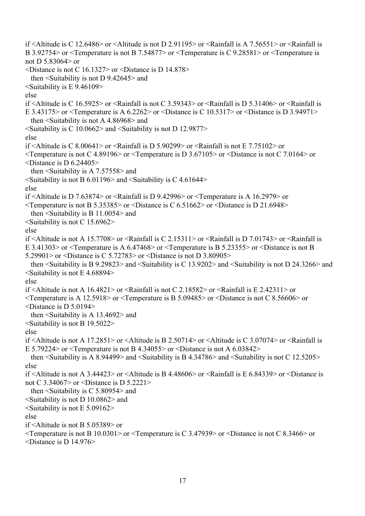if <Altitude is C 12.6486> or <Altitude is not D 2.91195> or <Rainfall is A 7.56551> or <Rainfall is B 3.92754> or <Temperature is not B 7.54877> or <Temperature is C 9.28581> or <Temperature is not D 5.83064> or  $\leq$ Distance is not C 16.1327> or  $\leq$ Distance is D 14.878> then <Suitability is not D 9.42645> and <Suitability is E 9.46109> else if <Altitude is C 16.5925> or <Rainfall is not C 3.59343> or <Rainfall is D 5.31406> or <Rainfall is E 3.43175> or <Temperature is A 6.2262> or <Distance is C 10.5317> or <Distance is D 3.94971> then <Suitability is not A 4.86968> and <Suitability is C 10.0662> and <Suitability is not D 12.9877> else if  $\leq$ Altitude is C 8.00641> or  $\leq$ Rainfall is D 5.90299> or  $\leq$ Rainfall is not E 7.75102> or  $\leq$ Temperature is not C 4.89196> or  $\leq$ Temperature is D 3.67105> or  $\leq$ Distance is not C 7.0164> or <Distance is D 6.24405> then <Suitability is A 7.57558> and  $\le$ Suitability is not B 6.01196 $>$  and  $\le$ Suitability is C 4.61644 $>$ else if <Altitude is D 7.63874> or <Rainfall is D 9.42996> or <Temperature is A 16.2979> or  $\leq$ Temperature is not B 5.35385> or  $\leq$ Distance is C 6.51662> or  $\leq$ Distance is D 21.6948> then <Suitability is B 11.0054> and  $\le$ Suitability is not C 15.6962> else if <Altitude is not A 15.7708> or <Rainfall is C 2.15311> or <Rainfall is D 7.01743> or <Rainfall is E 3.41303> or <Temperature is A 6.47468> or <Temperature is B 5.23355> or <Distance is not B 5.29901> or <Distance is C 5.72783> or <Distance is not D 3.80905> then <Suitability is B 9.29823> and <Suitability is C 13.9202> and <Suitability is not D 24.3266> and  $\le$ Suitability is not E 4.68894 $>$ else if  $\leq$ Altitude is not A 16.4821> or  $\leq$ Rainfall is not C 2.18582> or  $\leq$ Rainfall is E 2.42311> or <Temperature is A 12.5918> or <Temperature is B 5.09485> or <Distance is not C 8.56606> or <Distance is D 5.0194> then <Suitability is A 13.4692> and <Suitability is not B 19.5022> else if <Altitude is not A 17.2851> or <Altitude is B 2.50714> or <Altitude is C 3.07074> or <Rainfall is E 5.79224> or <Temperature is not B 4.34055> or <Distance is not A 6.03842> then  $\le$ Suitability is A 8.94499> and  $\le$ Suitability is B 4.34786> and  $\le$ Suitability is not C 12.5205> else if <Altitude is not A 3.44423> or <Altitude is B 4.48606> or <Rainfall is E 6.84339> or <Distance is not C 3.34067> or <Distance is D 5.2221> then <Suitability is C 5.80954> and <Suitability is not D 10.0862> and  $\le$ Suitability is not E 5.09162> else if <Altitude is not B 5.05389> or <Temperature is not B 10.0301> or <Temperature is C 3.47939> or <Distance is not C 8.3466> or

<Distance is D 14.976>